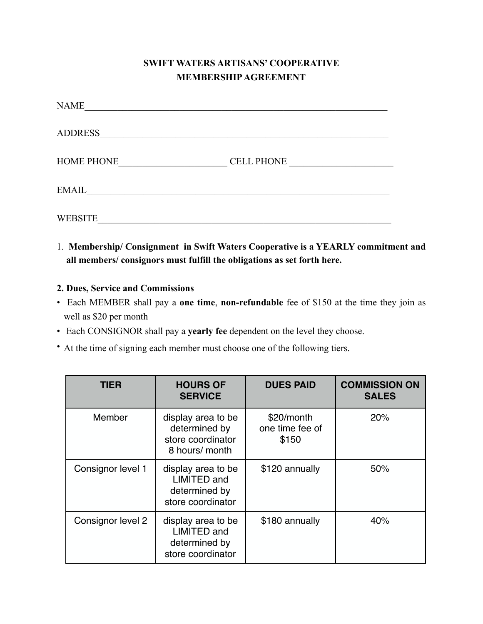# **SWIFT WATERS ARTISANS' COOPERATIVE MEMBERSHIP AGREEMENT**

| NAME              |                   |
|-------------------|-------------------|
| <b>ADDRESS</b>    |                   |
| <b>HOME PHONE</b> | <b>CELL PHONE</b> |
| EMAIL             |                   |
| <b>WEBSITE</b>    |                   |

1. **Membership/ Consignment in Swift Waters Cooperative is a YEARLY commitment and all members/ consignors must fulfill the obligations as set forth here.** 

### **2. Dues, Service and Commissions**

- Each MEMBER shall pay a **one time**, **non-refundable** fee of \$150 at the time they join as well as \$20 per month
- Each CONSIGNOR shall pay a **yearly fee** dependent on the level they choose.
- At the time of signing each member must choose one of the following tiers.

| TIER              | <b>HOURS OF</b><br><b>SERVICE</b>                                              | <b>DUES PAID</b>                       | <b>COMMISSION ON</b><br><b>SALES</b> |
|-------------------|--------------------------------------------------------------------------------|----------------------------------------|--------------------------------------|
| Member            | display area to be<br>determined by<br>store coordinator<br>8 hours/ month     | \$20/month<br>one time fee of<br>\$150 | 20%                                  |
| Consignor level 1 | display area to be<br><b>LIMITED and</b><br>determined by<br>store coordinator | \$120 annually                         | 50%                                  |
| Consignor level 2 | display area to be<br>LIMITED and<br>determined by<br>store coordinator        | \$180 annually                         | 40%                                  |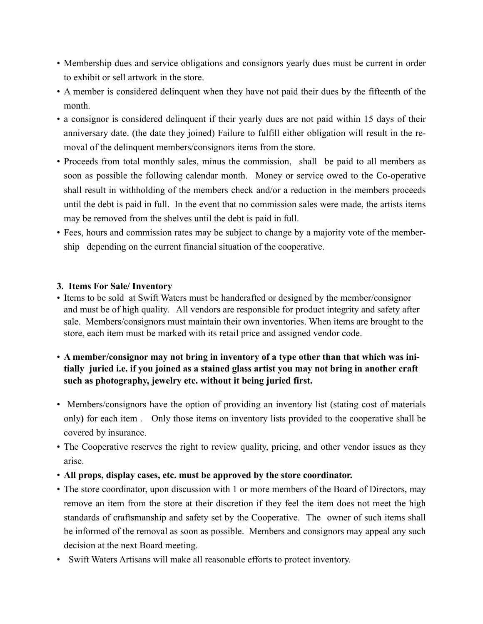- Membership dues and service obligations and consignors yearly dues must be current in order to exhibit or sell artwork in the store.
- A member is considered delinquent when they have not paid their dues by the fifteenth of the month.
- a consignor is considered delinquent if their yearly dues are not paid within 15 days of their anniversary date. (the date they joined) Failure to fulfill either obligation will result in the removal of the delinquent members/consignors items from the store.
- Proceeds from total monthly sales, minus the commission, shall be paid to all members as soon as possible the following calendar month. Money or service owed to the Co-operative shall result in withholding of the members check and/or a reduction in the members proceeds until the debt is paid in full. In the event that no commission sales were made, the artists items may be removed from the shelves until the debt is paid in full.
- Fees, hours and commission rates may be subject to change by a majority vote of the membership depending on the current financial situation of the cooperative.

### **3. Items For Sale/ Inventory**

- Items to be sold at Swift Waters must be handcrafted or designed by the member/consignor and must be of high quality. All vendors are responsible for product integrity and safety after sale. Members/consignors must maintain their own inventories. When items are brought to the store, each item must be marked with its retail price and assigned vendor code.
- **A member/consignor may not bring in inventory of a type other than that which was initially juried i.e. if you joined as a stained glass artist you may not bring in another craft such as photography, jewelry etc. without it being juried first.**
- Members/consignors have the option of providing an inventory list (stating cost of materials only**)** for each item . Only those items on inventory lists provided to the cooperative shall be covered by insurance.
- The Cooperative reserves the right to review quality, pricing, and other vendor issues as they arise.
- **All props, display cases, etc. must be approved by the store coordinator.**
- The store coordinator, upon discussion with 1 or more members of the Board of Directors, may remove an item from the store at their discretion if they feel the item does not meet the high standards of craftsmanship and safety set by the Cooperative. The owner of such items shall be informed of the removal as soon as possible. Members and consignors may appeal any such decision at the next Board meeting.
- Swift Waters Artisans will make all reasonable efforts to protect inventory.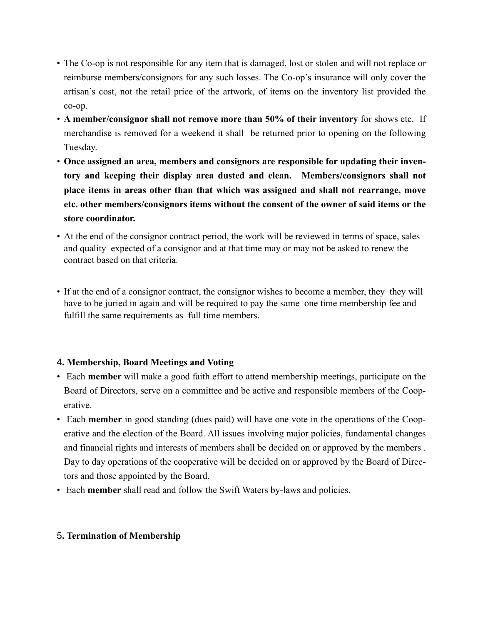- The Co-op is not responsible for any item that is damaged, lost or stolen and will not replace or reimburse members/consignors for any such losses. The Co-op's insurance will only cover the artisan's cost, not the retail price of the artwork, of items on the inventory list provided the co-op.
- **A member/consignor shall not remove more than 50% of their inventory** for shows etc. If merchandise is removed for a weekend it shall be returned prior to opening on the following Tuesday.
- **Once assigned an area, members and consignors are responsible for updating their inventory and keeping their display area dusted and clean. Members/consignors shall not place items in areas other than that which was assigned and shall not rearrange, move etc. other members/consignors items without the consent of the owner of said items or the store coordinator.**
- At the end of the consignor contract period, the work will be reviewed in terms of space, sales and quality expected of a consignor and at that time may or may not be asked to renew the contract based on that criteria.
- If at the end of a consignor contract, the consignor wishes to become a member, they they will have to be juried in again and will be required to pay the same one time membership fee and fulfill the same requirements as full time members.

### 4**. Membership, Board Meetings and Voting**

- Each **member** will make a good faith effort to attend membership meetings, participate on the Board of Directors, serve on a committee and be active and responsible members of the Cooperative.
- Each **member** in good standing (dues paid) will have one vote in the operations of the Cooperative and the election of the Board. All issues involving major policies, fundamental changes and financial rights and interests of members shall be decided on or approved by the members . Day to day operations of the cooperative will be decided on or approved by the Board of Directors and those appointed by the Board.
- Each **member** shall read and follow the Swift Waters by-laws and policies.

## 5**. Termination of Membership**